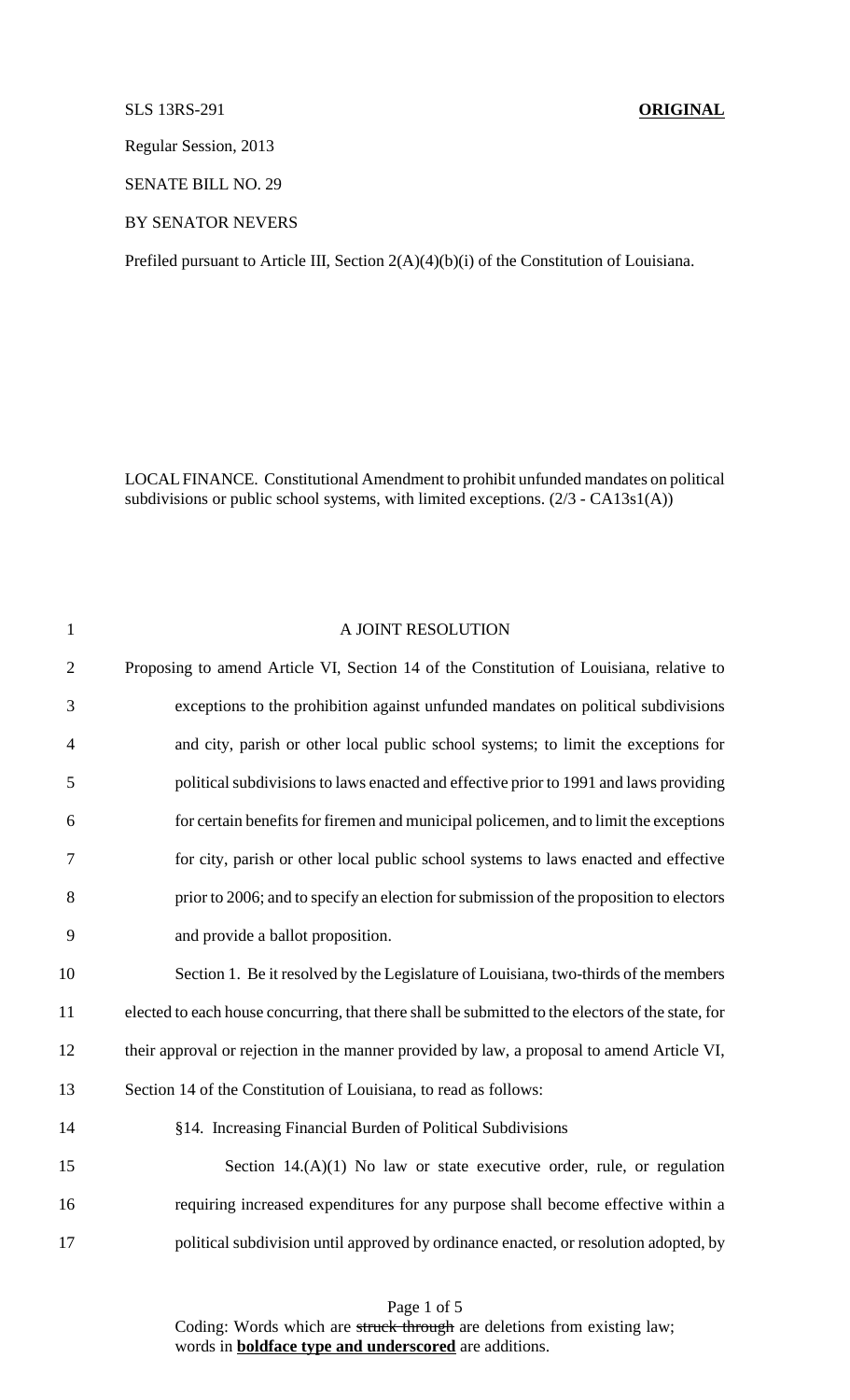## SLS 13RS-291 **ORIGINAL**

Regular Session, 2013

SENATE BILL NO. 29

BY SENATOR NEVERS

Prefiled pursuant to Article III, Section 2(A)(4)(b)(i) of the Constitution of Louisiana.

LOCALFINANCE. Constitutional Amendment to prohibit unfunded mandates on political subdivisions or public school systems, with limited exceptions. (2/3 - CA13s1(A))

| $\mathbf{1}$   | A JOINT RESOLUTION                                                                                |
|----------------|---------------------------------------------------------------------------------------------------|
| $\mathbf{2}$   | Proposing to amend Article VI, Section 14 of the Constitution of Louisiana, relative to           |
| 3              | exceptions to the prohibition against unfunded mandates on political subdivisions                 |
| $\overline{4}$ | and city, parish or other local public school systems; to limit the exceptions for                |
| 5              | political subdivisions to laws enacted and effective prior to 1991 and laws providing             |
| 6              | for certain benefits for firemen and municipal policemen, and to limit the exceptions             |
| 7              | for city, parish or other local public school systems to laws enacted and effective               |
| 8              | prior to 2006; and to specify an election for submission of the proposition to electors           |
| 9              | and provide a ballot proposition.                                                                 |
| 10             | Section 1. Be it resolved by the Legislature of Louisiana, two-thirds of the members              |
| 11             | elected to each house concurring, that there shall be submitted to the electors of the state, for |
| 12             | their approval or rejection in the manner provided by law, a proposal to amend Article VI,        |
| 13             | Section 14 of the Constitution of Louisiana, to read as follows:                                  |
| 14             | §14. Increasing Financial Burden of Political Subdivisions                                        |
| 15             | Section $14.(A)(1)$ No law or state executive order, rule, or regulation                          |
| 16             | requiring increased expenditures for any purpose shall become effective within a                  |
| 17             | political subdivision until approved by ordinance enacted, or resolution adopted, by              |

Page 1 of 5 Coding: Words which are struck through are deletions from existing law; words in **boldface type and underscored** are additions.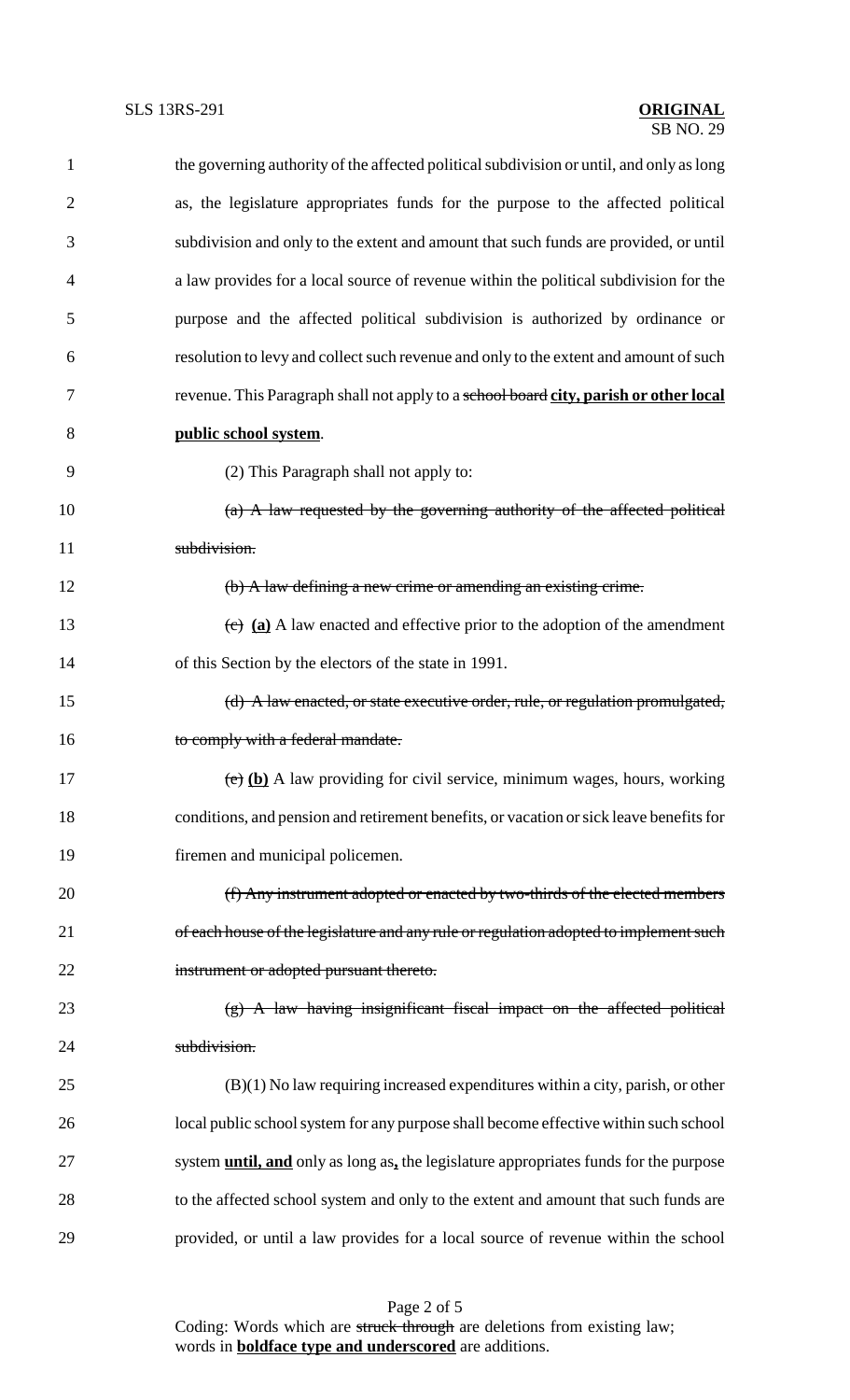| 1              | the governing authority of the affected political subdivision or until, and only as long     |
|----------------|----------------------------------------------------------------------------------------------|
| $\overline{2}$ | as, the legislature appropriates funds for the purpose to the affected political             |
| 3              | subdivision and only to the extent and amount that such funds are provided, or until         |
| 4              | a law provides for a local source of revenue within the political subdivision for the        |
| 5              | purpose and the affected political subdivision is authorized by ordinance or                 |
| 6              | resolution to levy and collect such revenue and only to the extent and amount of such        |
| 7              | revenue. This Paragraph shall not apply to a school board city, parish or other local        |
| 8              | public school system.                                                                        |
| 9              | (2) This Paragraph shall not apply to:                                                       |
| 10             | (a) A law requested by the governing authority of the affected political                     |
| 11             | subdivision.                                                                                 |
| 12             | (b) A law defining a new crime or amending an existing crime.                                |
| 13             | $\overline{(e)}$ (a) A law enacted and effective prior to the adoption of the amendment      |
| 14             | of this Section by the electors of the state in 1991.                                        |
| 15             | (d) A law enacted, or state executive order, rule, or regulation promulgated,                |
| 16             | to comply with a federal mandate.                                                            |
| 17             | $\overline{(e)}$ (b) A law providing for civil service, minimum wages, hours, working        |
| 18             | conditions, and pension and retirement benefits, or vacation or sick leave benefits for      |
| 19             | firemen and municipal policemen.                                                             |
| 20             | (f) Any instrument adopted or enacted by two-thirds of the elected members                   |
| 21             | of each house of the legislature and any rule or regulation adopted to implement such        |
| 22             | instrument or adopted pursuant thereto.                                                      |
| 23             | $(g)$ A law having insignificant fiscal impact on the affected political                     |
| 24             | subdivision.                                                                                 |
| 25             | $(B)(1)$ No law requiring increased expenditures within a city, parish, or other             |
| 26             | local public school system for any purpose shall become effective within such school         |
| 27             | system <b>until, and</b> only as long as, the legislature appropriates funds for the purpose |
| 28             | to the affected school system and only to the extent and amount that such funds are          |
| 29             | provided, or until a law provides for a local source of revenue within the school            |

Page 2 of 5 Coding: Words which are struck through are deletions from existing law; words in **boldface type and underscored** are additions.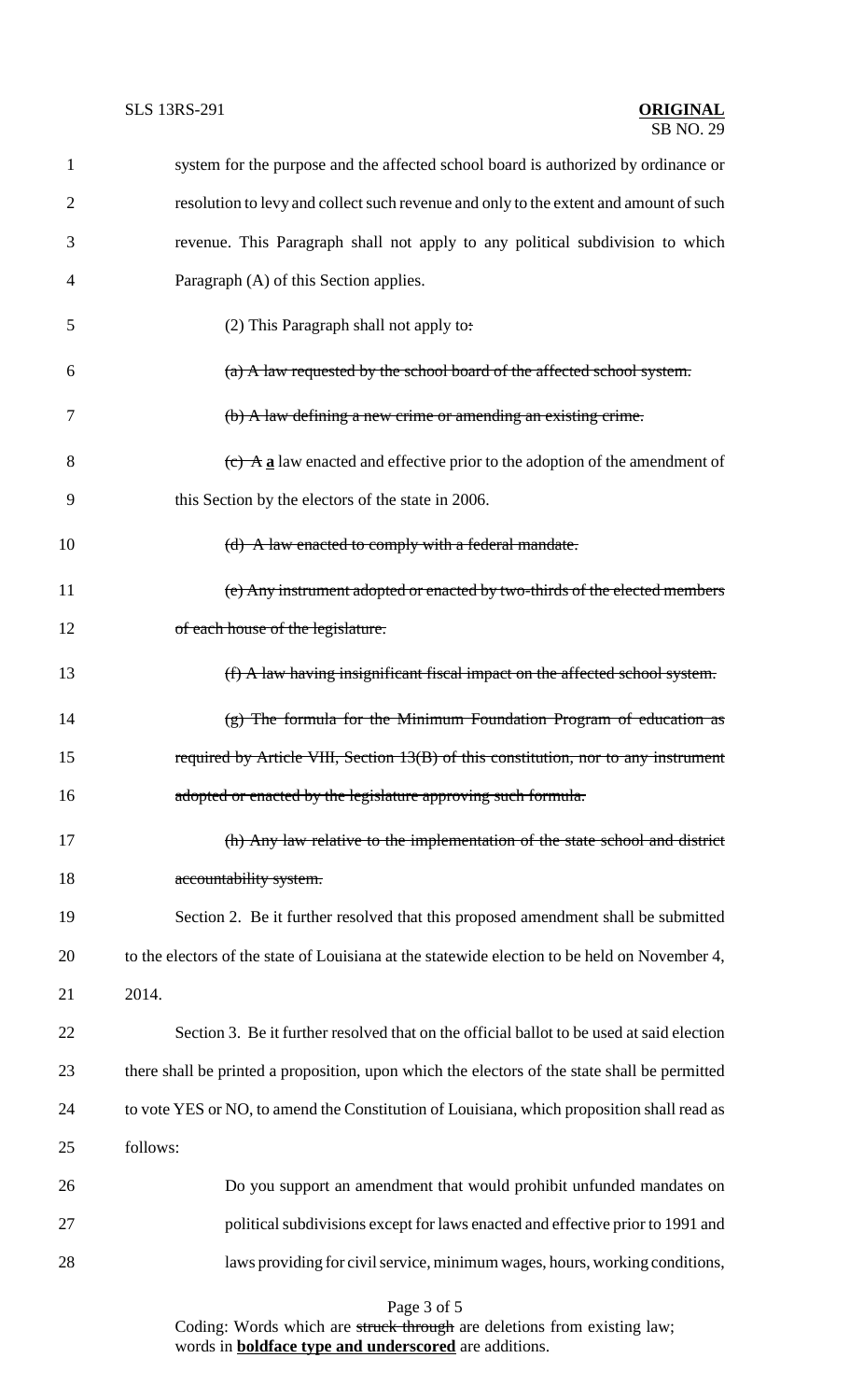| $\mathbf{1}$   | system for the purpose and the affected school board is authorized by ordinance or            |
|----------------|-----------------------------------------------------------------------------------------------|
| $\overline{2}$ | resolution to levy and collect such revenue and only to the extent and amount of such         |
| 3              | revenue. This Paragraph shall not apply to any political subdivision to which                 |
| 4              | Paragraph (A) of this Section applies.                                                        |
| 5              | (2) This Paragraph shall not apply to:                                                        |
| 6              | $(a)$ A law requested by the school board of the affected school system.                      |
| 7              | (b) A law defining a new crime or amending an existing crime.                                 |
| 8              | $\overline{(e)}$ A a law enacted and effective prior to the adoption of the amendment of      |
| 9              | this Section by the electors of the state in 2006.                                            |
| 10             | (d) A law enacted to comply with a federal mandate.                                           |
| 11             | (e) Any instrument adopted or enacted by two-thirds of the elected members                    |
| 12             | of each house of the legislature.                                                             |
| 13             | (f) A law having insignificant fiscal impact on the affected school system.                   |
| 14             | $(g)$ The formula for the Minimum Foundation Program of education as                          |
| 15             | required by Article VIII, Section 13(B) of this constitution, nor to any instrument           |
| 16             | adopted or enacted by the legislature approving such formula.                                 |
| 17             | (h) Any law relative to the implementation of the state school and district                   |
| 18             | accountability system.                                                                        |
| 19             | Section 2. Be it further resolved that this proposed amendment shall be submitted             |
| 20             | to the electors of the state of Louisiana at the statewide election to be held on November 4, |
| 21             | 2014.                                                                                         |
| 22             | Section 3. Be it further resolved that on the official ballot to be used at said election     |
| 23             | there shall be printed a proposition, upon which the electors of the state shall be permitted |
| 24             | to vote YES or NO, to amend the Constitution of Louisiana, which proposition shall read as    |
| 25             | follows:                                                                                      |
| 26             | Do you support an amendment that would prohibit unfunded mandates on                          |
| 27             | political subdivisions except for laws enacted and effective prior to 1991 and                |
| 28             | laws providing for civil service, minimum wages, hours, working conditions,                   |

Page 3 of 5

Coding: Words which are struck through are deletions from existing law; words in **boldface type and underscored** are additions.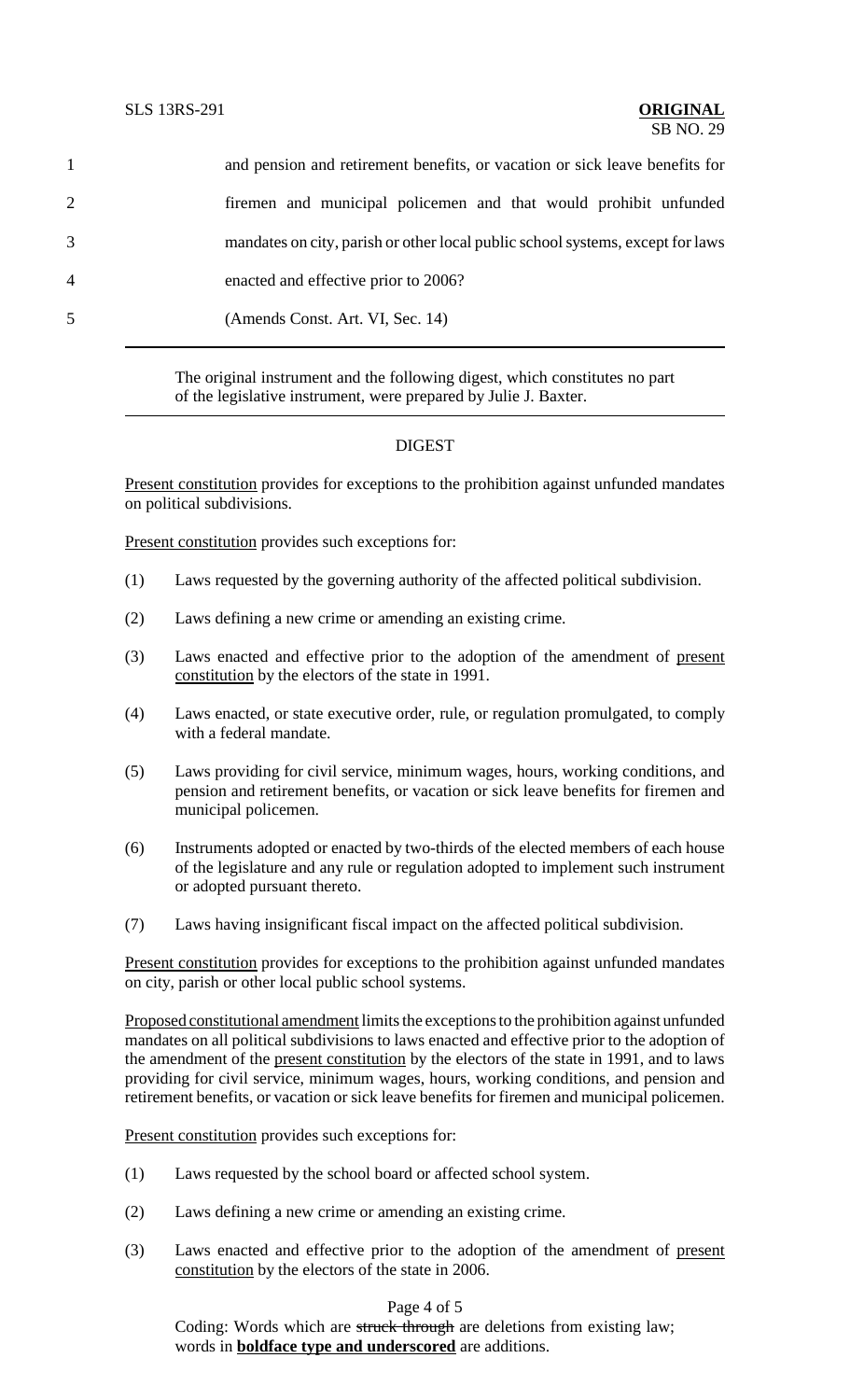|                | and pension and retirement benefits, or vacation or sick leave benefits for    |
|----------------|--------------------------------------------------------------------------------|
| $\overline{2}$ | firemen and municipal policemen and that would prohibit unfunded               |
| 3              | mandates on city, parish or other local public school systems, except for laws |
| 4              | enacted and effective prior to 2006?                                           |
| 5              | (Amends Const. Art. VI, Sec. 14)                                               |
|                |                                                                                |

The original instrument and the following digest, which constitutes no part of the legislative instrument, were prepared by Julie J. Baxter.

## **DIGEST**

Present constitution provides for exceptions to the prohibition against unfunded mandates on political subdivisions.

Present constitution provides such exceptions for:

- (1) Laws requested by the governing authority of the affected political subdivision.
- (2) Laws defining a new crime or amending an existing crime.
- (3) Laws enacted and effective prior to the adoption of the amendment of present constitution by the electors of the state in 1991.
- (4) Laws enacted, or state executive order, rule, or regulation promulgated, to comply with a federal mandate.
- (5) Laws providing for civil service, minimum wages, hours, working conditions, and pension and retirement benefits, or vacation or sick leave benefits for firemen and municipal policemen.
- (6) Instruments adopted or enacted by two-thirds of the elected members of each house of the legislature and any rule or regulation adopted to implement such instrument or adopted pursuant thereto.
- (7) Laws having insignificant fiscal impact on the affected political subdivision.

Present constitution provides for exceptions to the prohibition against unfunded mandates on city, parish or other local public school systems.

Proposed constitutional amendment limits the exceptions to the prohibition against unfunded mandates on all political subdivisions to laws enacted and effective prior to the adoption of the amendment of the present constitution by the electors of the state in 1991, and to laws providing for civil service, minimum wages, hours, working conditions, and pension and retirement benefits, or vacation or sick leave benefits for firemen and municipal policemen.

Present constitution provides such exceptions for:

- (1) Laws requested by the school board or affected school system.
- (2) Laws defining a new crime or amending an existing crime.
- (3) Laws enacted and effective prior to the adoption of the amendment of present constitution by the electors of the state in 2006.

## Page 4 of 5

Coding: Words which are struck through are deletions from existing law; words in **boldface type and underscored** are additions.